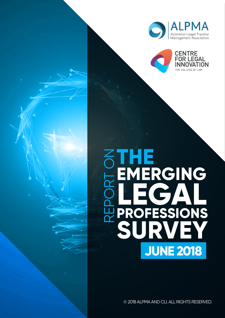



# **THE EMERGING LEGAL PROFESSIONS SURVEY** REPORT ON **JUNE 2018**

© 2018 ALPMA AND CLI. ALL RIGHTS RESERVED.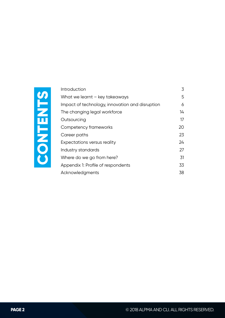

| Introduction                                    | 3  |  |  |  |  |
|-------------------------------------------------|----|--|--|--|--|
| What we learnt - key takeaways                  |    |  |  |  |  |
| Impact of technology, innovation and disruption |    |  |  |  |  |
| The changing legal workforce                    | 14 |  |  |  |  |
| Outsourcing                                     | 17 |  |  |  |  |
| Competency frameworks                           | 20 |  |  |  |  |
| Career paths                                    | 23 |  |  |  |  |
| Expectations versus reality                     | 24 |  |  |  |  |
| Industry standards                              | 27 |  |  |  |  |
| Where do we go from here?                       | 31 |  |  |  |  |
| Appendix 1: Profile of respondents              | 33 |  |  |  |  |
| Acknowledgments                                 | 38 |  |  |  |  |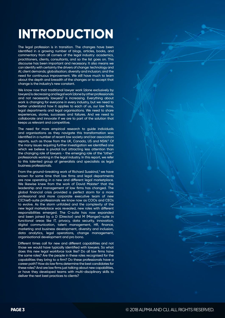# **INTRODUCTION**

The legal profession is in transition. The changes have been identified in a growing number of blogs, articles, books, and commentary from all corners of the legal industry: academics, practitioners, clients, consultants, and so the list goes on. This discourse has been important and necessary. It also means we can identify with certainty the drivers of change: technology and AI; client demands; globalisation; diversity and inclusion; and the need for continuous improvement. We still have much to learn about the depth and breadth of the changes or to accept that change is the industry's new constant.

We know now that traditional lawyer work (done exclusively by lawyers) is decreasing and legal work (done by other professionals and not necessarily lawyers)<sup>1</sup> is increasing. Everything about work is changing for everyone in every industry, but we need to better understand how it applies to each of us, our law firms, legal departments and legal organisations. We need to share experiences, stories, successes and failures. And we need to collaborate and innovate if we are to part of the solution that keeps us relevant and competitive.

The need for more empirical research to guide individuals and organisations as they navigate this transformation was identified in a number of recent law society and bar association reports, such as those from the UK, Canada, US and NSW.<sup>2</sup> Of the many issues requiring further investigation we identified one which we believe is pivotal but attracting less attention than the changing role of lawyers - the emerging role of the "other" professionals working in the legal industry. In this report, we refer to this talented group of generalists and specialists as legal business professionals.

From the ground-breaking work of Richard Susskind,<sup>3</sup> we have known for some time that law firms and legal departments are now operating in a new and different legal marketplace. We likewise knew from the work of David Maister<sup>4</sup> that the leadership and management of law firms has changed. The global financial crisis provided a perfect storm for a more professional and more corporate executive team of new C(Chief)-suite professionals we know now as COOs and CEOs to evolve. As the storm unfolded and the complexity of the new legal marketplace was revealed, new roles with different responsibilities emerged. The C-suite has now expanded and been joined by a D (Director) and M (Manger)–suite in functional areas like IT, privacy, data security, innovation, digital communication, talent management, HR, finance, marketing and business development, diversity and inclusion, data analytics, legal operations, change management, organisational development and pro bono.

Different times call for new and different capabilities and not those we would have typically identified with lawyers. So what does this new legal workforce look like? Do all law firms have the same roles? Are the people in these roles recognised for the capabilities they bring to a firm? Do these professionals have a career path? How do law firms determine the best candidates for these roles? And are law firms just talking about new capabilities, or have they developed teams with multi-disciplinary skills to deliver the next best practices to clients?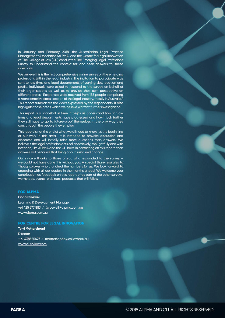In January and February 2018, the Australasian Legal Practice Management Association (ALPMA) and the Centre for Legal Innovation at The College of Law (CLI) conducted The Emerging Legal Professions Survey to understand the context for, and seek answers to, these questions.

We believe this is the first comprehensive online survey on the emerging professions within the legal industry. The invitation to participate was sent to law firms and legal departments of varying size, location and profile. Individuals were asked to respond to the survey on behalf of their organisations as well as to provide their own perspective on different topics. Responses were received from 188 people comprising a representative cross-section of the legal industry, mostly in Australia.5 This report summarizes the views expressed by the respondents. It also highlights those areas which we believe warrant further investigation.

This report is a snapshot in time. It helps us understand how far law firms and legal departments have progressed and how much further they still have to go to future-proof themselves in the only way they can, through the people they employ.

This report is not the end of what we all need to know. It's the beginning of our work in this area. It is intended to provoke discussion and discourse and will initially raise more questions than answers. We believe if the legal profession acts collaboratively, thoughtfully and with intention, like ALPMA and the CLI have in partnering on this report, then answers will be found that bring about sustained change.

Our sincere thanks to those of you who responded to the survey – we could not have done this without you. A special thank you also to Thoughtbroker who crunched the numbers for us. We look forward to engaging with all our readers in the months ahead. We welcome your contribution as feedback on this report or as part of the other surveys, workshops, events, webinars, podcasts that will follow.

#### **FOR ALPMA**

#### **Fiona Croswell**

Learning & Development Manager +61 425 277 883 / f.croswell@alpma.com.au www.alpma.com.au

#### **FOR CENTRE FOR LEGAL INNOVATION**

**Terri Mottershead Director** + 61 438355427 / tmottershead@collaw.edu.au www.cli.collaw.com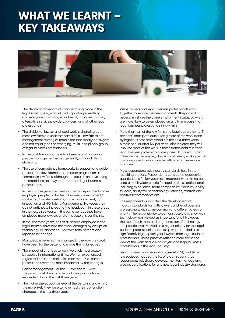### **WHAT WE LEARNT – KEY TAKEAWAYS**



- The depth and breadth of change taking place in the legal industry is significant and impacting everything and everyone – firms large and small, in-house counsel, alternative service providers, lawyers, and all other legal professionals.
- The division of lawyer and leaal work is changing but most law firms are underprepared for it. Law firm talent management strategies remain focused mostly on lawyers and not equally on the emerging, multi-disciplinary group of legal business professionals.
- In the past five years, there has been less of a focus on people management issues generally, although this is changing.
- The use of competency frameworks to support and quide professional development and career progression are common in law firms, although the focus is on developing the capabilities of lawyers, rather than legal business professionals.
- In the last five years law firms and legal departments have employed people to fill roles in business development/ marketing, C-suite positions, office management, IT/ innovation and HR/Talent Management. However, they do not anticipate increasing the headcount in these areas in the next three years. In the same periods they have employed more lawyers and anticipate this continuing.
- In the last three years, half of all people employed in the legal industry have had their work changed by disruption, technology or innovation. However, forty percent also reported no change.
- Most people believed the changes to the way they work have been for the better and made their jobs easier.
- The impact of changes to work were felt most acutely by people in international firms. Women experienced a greater impact on their roles than men. Mid-career professionals were the most impacted by the changes.
- Senior management or the C-level team were the group most likely to have had their job functions reinvented during the last three years.
- The higher the education level of the person in a law firm, the more likely they were to have had their job function changed in the last three years.
- While lawyers and legal business professionals work together to service the needs of clients, they do not necessarily share the same employment status. Lawyers are more likely to be employed on a full-time basis than legal business professionals in law firms.
- More than half of the law firms and legal departments (51 per cent) anticipate outsourcing more of the work done by legal business professionals in the next three years. Almost one-quarter (24 per cent), also indicted they will insource more of this work. If these trends hold true then legal business professionals are poised to have a larger influence on the way legal work is delivered, working either inside organisations or outside with alternative service providers.
- Most respondents felt industry standards help in the recruiting process. Respondents considered academic qualifications for lawyers most important when hiring but used a much wider criteria for legal business professionals including experience, team compatibility, flexibility, ability to learn, ability to use technology, referees, referrals and positive recommendations.
- The respondents supported the development of industry standards for both lawyers and legal business professionals, with some common and different areas of priority. The responsibility to demonstrate proficiency with technology was viewed as important for all. However, the use of tech tools and augmentation of technology into practice was viewed as a higher priority for the legal business professionals. Leadership was identified as a significantly higher priority for lawyers than legal business professionals. These priorities reflect a more traditional view of the work and role of lawyers and legal business professionals in the legal industry.
- Legal professional associations (like ALPMA) and state law societies, topped the list of organisations that respondents felt should develop, monitor, manage and provide certifications for any new legal industry standards.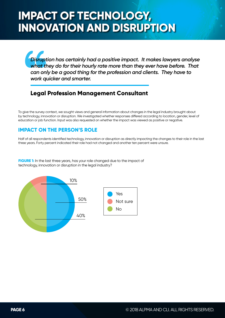*Disruption has certainly had a positive impact. It makes lawyers analyse what they do for their hourly rate more than they ever have before. That can only be a good thing for the profession and clients. They have to work quicker and smarter.*

### **Legal Profession Management Consultant**

To give the survey context, we sought views and general information about changes in the legal industry brought about by technology, innovation or disruption. We investigated whether responses differed according to location, gender, level of education or job function. Input was also requested on whether the impact was viewed as positive or negative.

#### **IMPACT ON THE PERSON'S ROLE**

Half of all respondents identified technology, innovation or disruption as directly impacting the changes to their role in the last three years. Forty percent indicated their role had not changed and another ten percent were unsure.

**FIGURE 1:** In the last three years, has your role changed due to the impact of technology, innovation or disruption in the legal industry?

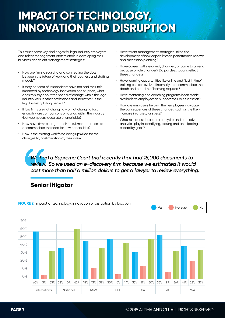This raises some key challenges for legal industry employers and talent management professionals in developing their business and talent management strategies:

- How are firms discussing and connecting the dots between the future of work and their business and staffing models?
- If forty per cent of respondents have not had their role impacted by technology, innovation or disruption, what does this say about the speed of change within the legal industry versus other professions and industries? Is the legal industry falling behind?
- If law firms are not changing or not changing fast enough - are comparisons or ratings within the industry (between peers) accurate or unreliable?
- How have firms changed their recruitment practices to accommodate the need for new capabilities?
- How is the existing workforce being upskilled for the changes to, or elimination of, their roles?
- Have talent management strategies linked the development of new capabilities to performance reviews and succession planning?
- Have career paths evolved, changed, or come to an end because of role changes? Do job descriptions reflect these changes?
- Have learning opportunities like online and "just in time" training courses evolved internally to accommodate the depth and breadth of learning required?
- Have mentoring and coaching programs been made available to employees to support their role transition?
- How are employers helping their employees navigate the consequences of these changes, such as the likely increase in anxiety or stress?
- What role does data, data analytics and predictive analytics play in identifying, closing and anticipating capability gaps?

*We had a Supreme Court trial recently that had 18,000 documents to review. So we used an e-discovery firm because we estimated it would cost more than half a million dollars to get a lawyer to review everything.*

### **Senior litigator**

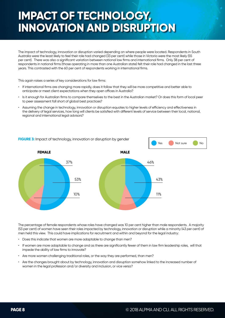The impact of technology, innovation or disruption varied depending on where people were located. Respondents in South Australia were the least likely to feel their role had changed (33 per cent) while those in Victoria were the most likely (55 per cent). There was also a significant variation between national law firms and international firms. Only 38 per cent of respondents in national firms (those operating in more than one Australian state) felt their role had changed in the last three years. This contrasted with the 60 per cent of respondents working in international firms.

This again raises a series of key considerations for law firms:

- If international firms are changing more rapidly, does it follow that they will be more competitive and better able to anticipate or meet client expectations when they open offices in Australia?
- Is it enough for Australian firms to compare themselves to the best in the Australian market? Or does this form of local peer to peer assessment fall short of global best practices?
- Assuming the change in technology, innovation or disruption equates to higher levels of efficiency and effectiveness in the delivery of legal services, how long will clients be satisfied with different levels of service between their local, national, regional and international legal advisors?



The percentage of female respondents whose roles have changed was 10 per cent higher than male respondents. A majority (53 per cent) of women have seen their roles impacted by technology, innovation or disruption while a minority (43 per cent) of

men held this view. This could have implications for recruitment and within and beyond for the legal industry:

- Does this indicate that women are more adaptable to change than men?
- If women are more adaptable to change and as there are significantly fewer of them in law firm leadership roles, will that impede the ability of law firms to innovate?
- Are more women challenging traditional roles, or the way they are performed, than men?
- Are the changes brought about by technology, innovation and disruption somehow linked to the increased number of women in the legal profession and/or diversity and inclusion, or vice versa?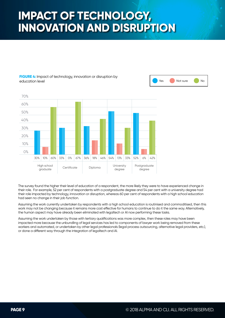#### **FIGURE 4:** Impact of technology, innovation or disruption by education level





The survey found the higher their level of education of a respondent, the more likely they were to have experienced change in their role. For example, 52 per cent of respondents with a postgraduate degree and 54 per cent with a university degree had their role impacted by technology, innovation or disruption, whereas 60 per cent of respondents with a high school education had seen no change in their job function.

Assuming the work currently undertaken by respondents with a high school education is routinised and commoditised, then this work may not be changing because it remains more cost effective for humans to continue to do it the same way. Alternatively, the human aspect may have already been eliminated with legaltech or AI now performing these tasks.

Assuming the work undertaken by those with tertiary qualifications was more complex, then these roles may have been impacted more because the unbundling of legal services has led to components of lawyer work being removed from these workers and automated, or undertaken by other legal professionals (legal process outsourcing, alternative legal providers, etc.), or done a different way through the integration of legaltech and AI.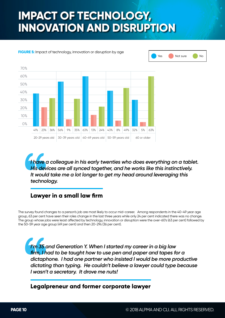### **FIGURE 5:** Impact of technology, innovation or disruption by age



Yes Not sure No

*I have a colleague in his early twenties who does everything on a tablet. His devices are all synced together, and he works like this instinctively. It would take me a lot longer to get my head around leveraging this technology.*

### **Lawyer in a small law firm**

The survey found changes to a person's job are most likely to occur mid-career. Among respondents in the 40-49 year age group, 63 per cent have seen their roles change in the last three years while only 24 per cent indicated there was no change. The group whose jobs were least affected by technology, innovation or disruption were the over-60's (63 per cent) followed by the 50-59 year age group (49 per cent) and then 20-29s (36 per cent).

*I'm 35 and Generation Y. When I started my career in a big law firm, I had to be taught how to use pen and paper and tapes for a dictaphone. I had one partner who insisted I would be more productive dictating than typing. He couldn't believe a lawyer could type because I wasn't a secretary. It drove me nuts!*

**Legalpreneur and former corporate lawyer**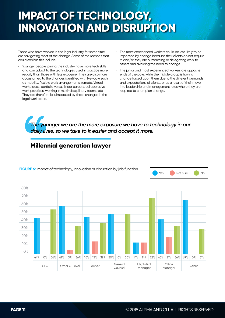Those who have worked in the legal industry for some time are navigating most of the change. Some of the reasons that could explain this include:

- Younger people joining the industry have more tech skills and can adapt to the technologies used in practice more readily than those with less exposure. They are also more accustomed to the changes identified with NewLaw such as mobility, flexible work arrangements, remote/virtual workplaces, portfolio versus linear careers, collaborative work practises, working in multi-disciplinary teams, etc. They are therefore less impacted by these changes in the legal workplace.
- The most experienced workers could be less likely to be impacted by change because their clients do not require it, and/or they are outsourcing or delegating work to others and avoiding the need to change.
- The junior and most experienced workers are opposite ends of the pole, while the middle group is having change forced upon them due to the different demands and expectations of clients, or as a result of their move into leadership and management roles where they are required to champion change.

*The younger we are the more exposure we have to technology in our daily lives, so we take to it easier and accept it more.*

### **Millennial generation lawyer**



**FIGURE 6:** Impact of technology, innovation or disruption by job function



Yes Not sure No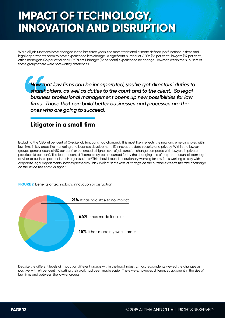While all job functions have changed in the last three years, the more traditional or more defined job functions in firms and legal departments seem to have experienced less change. A significant number of CEOs (56 per cent), lawyers (39 per cent), office managers (36 per cent) and HR/Talent Manager (72 per cent) experienced no change. However, within the sub-sets of these groups there were noteworthy differences.

*Now that law firms can be incorporated, you've got directors' duties to shareholders, as well as duties to the court and to the client. So legal business professional management opens up new possibilities for law firms. Those that can build better businesses and processes are the ones who are going to succeed.*

### **Litigator in a small firm**

Excluding the CEO, 61 per cent of C-suite job functions had changed. This most likely reflects the new and emerging roles within law firms in key areas like marketing and business development, IT, innovation, data security and privacy. Within the lawyer groups, general counsel (50 per cent) experienced a higher level of job function change compared with lawyers in private practice (46 per cent). The four per cent difference may be accounted for by the changing role of corporate counsel, from legal advisor to business partner in their organisations.<sup>8</sup> This should sound a cautionary warning for law firms working closely with corporate legal departments, best expressed by Jack Welch: *"If the rate of change on the outside exceeds the rate of change on the inside the end is in sight."*

#### **FIGURE 7:** Benefits of technology, innovation or disruption



Despite the different levels of impact on different groups within the legal industry, most respondents viewed the changes as positive, with 64 per cent indicating their work had been made easier. There were, however, differences apparent in the size of law firms and between the lawyer groups.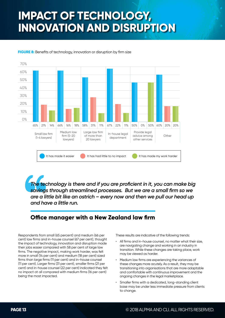

**FIGURE 8:** Benefits of technology, innovation or disruption by firm size

*The technology is there and if you are proficient in it, you can make big savings through streamlined processes. But we are a small firm so we are a little bit like an ostrich – every now and then we pull our head up and have a little run.*

### **Office manager with a New Zealand law firm**

Respondents from small (65 percent) and medium (66 per cent) law firms and in-house counsel (67 per cent), thought the impact of technology, innovation and disruption made their jobs easier compared with 58 per cent of large law firms. The negative impact, making work harder, was felt more in small (14 per cent) and medium (18 per cent) sized firms than large firms (11 per cent) and in-house counsel (11 per cent). Larger firms (31 per cent), smaller firms (21 per cent) and in-house counsel (22 per cent) indicated they felt no impact at all compared with medium firms (16 per cent) being the most impacted.

These results are indicative of the following trends:

- All firms and in-house counsel, no matter what their size, are navigating change and working in an industry in transition. While these changes are taking place, work may be viewed as harder.
- Medium law firms are experiencing the variances of these changes more acutely. As a result, they may be transitioning into organisations that are more adaptable and comfortable with continuous improvement and the ongoing changes in the legal marketplace.
- Smaller firms with a dedicated, long-standing client base may be under less immediate pressure from clients to change.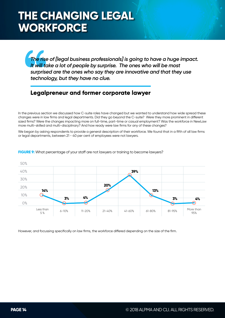## **THE CHANGING LEGAL WORKFORCE**

*The rise of [legal business professionals] is going to have a huge impact. It will take a lot of people by surprise. The ones who will be most surprised are the ones who say they are innovative and that they use technology, but they have no clue.*

### **Legalpreneur and former corporate lawyer**

In the previous section we discussed how C-suite roles have changed but we wanted to understand how wide spread these changes were in law firms and legal departments. Did they go beyond the C-suite? Were they more prominent in different sized firms? Were the changes impacting more on full-time, part-time or casual employment? Was the workforce in NewLaw more multi-skilled and multi-disciplinary? And how ready were law firms for any of these changes?

We began by asking respondents to provide a general description of their workforce. We found that in a fifth of all law firms or legal departments, between 21 - 40 per cent of employees were not lawyers.



**FIGURE 9:** What percentage of your staff are not lawyers or training to become lawyers?

However, and focussing specifically on law firms, the workforce differed depending on the size of the firm.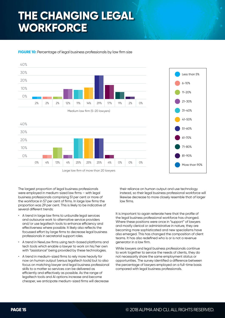## **THE CHANGING LEGAL WORKFORCE**

#### **FIGURE 10:** Percentage of legal business professionals by law firm size





The largest proportion of legal business professionals were employed in medium-sized law firms - with legal business professionals comprising 51 per cent or more of the workforce in 57 per cent of firms. In large law firms the proportion was 29 per cent. This is likely to be indicative of several different trends:

- A trend in large law firms to unbundle legal services and outsource work to alternative service providers and/or use legaltech tools to enhance efficiency and effectiveness where possible. It likely also reflects the focussed effort by large firms to decrease legal business professionals in secretarial support roles.
- A trend in NewLaw firms using tech-based platforms and tech tools which enable a lawyer to work on his/her own with "assistance" being provided by these technologies.
- A trend in medium-sized firms to rely more heavily for now on human output (versus legaltech tools) but to also focus on matching lawyer and legal business professional skills to a matter so services can be delivered as efficiently and effectively as possible. As the range of legaltech tools and AI options increase and become cheaper, we anticipate medium-sized firms will decrease

their reliance on human output and use technology instead, so their legal business professional workforce will likewise decrease to more closely resemble that of larger law firms.

It is important to again reiterate here that the profile of the legal business professional workforce has changed. Where these positions were once in "support" of lawyers and mostly clerical or administrative in nature, they are becoming more sophisticated and new specialisms have also emerged. This has changed the composition of client teams. It has also redefined who is or is not a revenue generator in a law firm.

While lawyers and legal business professionals continue to work together to service the needs of clients, they do not necessarily share the same employment status or opportunities. The survey identified a difference between the percentage of lawyers employed on a full-time basis compared with legal business professionals.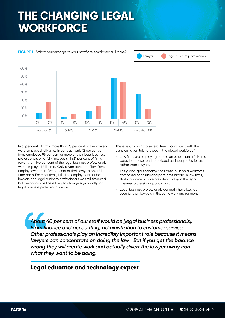## **THE CHANGING LEGAL WORKFORCE**



**FIGURE 11:** What percentage of your staff are employed full-time?

In 31 per cent of firms, more than 95 per cent of the lawyers were employed full-time. In contrast, only 12 per cent of firms employed 95 per cent or more of their legal business professionals on a full-time basis. In 21 per cent of firms, fewer than five per cent of the legal business professionals were employed full-time. Only seven percent of law firms employ fewer than five per cent of their lawyers on a fulltime basis. For most firms, full-time employment for both lawyers and legal business professionals was still favoured, but we anticipate this is likely to change significantly for legal business professionals soon.

These results point to several trends consistent with the transformation taking place in the global workforce:<sup>9</sup>

• Law firms are employing people on other than a full-time basis, but these tend to be legal business professionals rather than lawyers.

Lawyers **Legal business professionals** 

- The global gig economy<sup>10</sup> has been built on a workforce comprised of casual and part-time labour. In law firms, that workforce is more prevalent today in the legal business professional population.
- Legal business professionals generally have less job security than lawyers in the same work environment.

*About 40 per cent of our staff would be [legal business professionals]. From finance and accounting, administration to customer service. Other professionals play an incredibly important role because it means lawyers can concentrate on doing the law. But if you get the balance wrong they will create work and actually divert the lawyer away from what they want to be doing.*

### **Legal educator and technology expert**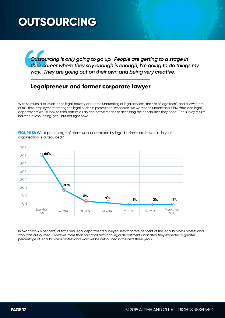## **OUTSOURCING**

*Outsourcing is only going to go up. People are getting to a stage in their career where they say enough is enough, I'm going to do things my way. They are going out on their own and being very creative.*

#### **Legalpreneur and former corporate lawyer**

With so much discussion in the legal industry about the unbundling of legal services, the rise of legaltech<sup>11</sup>, and a lower rate of full-time employment among the legal business professional workforce, we wanted to understand if law firms and legal departments would look to third parties as an alternative means of accessing the capabilities they need. The survey results indicted a resounding "yes," but not right now!



**FIGURE 12:** What percentage of client work undertaken by legal business professionals in your organisation is outsourced?

In two thirds (66 per cent) of firms and legal departments surveyed, less than five per cent of the legal business professional work was outsourced. However, more than half of all firms and legal departments indicated they expected a greater percentage of legal business professional work will be outsourced in the next three years.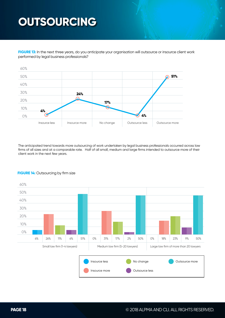## **OUTSOURCING**

**FIGURE 13:** In the next three years, do you anticipate your organisation will outsource or insource client work performed by legal business professionals?



The anticipated trend towards more outsourcing of work undertaken by legal business professionals occurred across law firms of all sizes and at a comparable rate. Half of all small, medium and large firms intended to outsource more of their client work in the next few years.



#### **FIGURE 14:** Outsourcing by firm size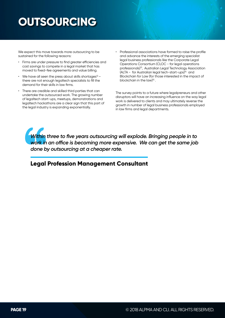## **OUTSOURCING**

We expect this move towards more outsourcing to be sustained for the following reasons:

- Firms are under pressure to find greater efficiencies and cost savings to compete in a legal market that has moved to fixed-fee agreements and value billing.
- We have all seen the press about skills shortages $12$ there are not enough legaltech specialists to fill the demand for their skills in law firms.
- There are credible and skilled third parties that can undertake the outsourced work. The growing number of legaltech start-ups, meetups, demonstrations and legaltech hackathons are a clear sign that this part of the legal industry is expanding exponentially.
- Professional associations have formed to raise the profile and advance the interests of the emerging specialist legal business professionals like the Corporate Legal Operations Consortium (CLOC - for legal operations professionals)13, Australian Legal Technology Association  $(ALTA - for Australian legal tech-start-ups)<sup>14</sup>$  and Blockchain for Law (for those interested in the impact of blockchain in the law)15 .

The survey points to a future where legalpreneurs and other disruptors will have an increasing influence on the way legal work is delivered to clients and may ultimately reverse the growth in number of legal business professionals employed in law firms and legal departments.

*Within three to five years outsourcing will explode. Bringing people in to work in an office is becoming more expensive. We can get the same job done by outsourcing at a cheaper rate.*

#### **Legal Profession Management Consultant**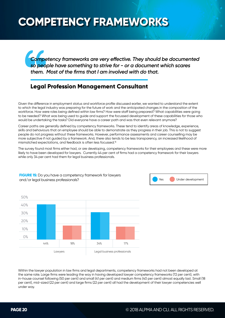## **COMPETENCY FRAMEWORKS**

*Competency frameworks are very effective. They should be documented so people have something to strive for - or a document which scares them. Most of the firms that I am involved with do that.*

### **Legal Profession Management Consultant**

Given the difference in employment status and workforce profile discussed earlier, we wanted to understand the extent to which the legal industry was preparing for the future of work and the anticipated changes in the composition of the workforce. How were roles being defined within law firms? How were staff being prepared? What capabilities were going to be needed? What was being used to guide and support the focussed development of these capabilities for those who would be undertaking the tasks? Did everyone have a career path and was that even relevant anymore?

Career paths are generally defined by competency frameworks. These tend to identify areas of knowledge, experience, skills and behaviours that an employee should be able to demonstrate as they progress in their job. This is not to suggest people do not progress without these frameworks. However, performance assessments and career counselling may be more subjective if not guided by a framework. And, there also tends to be less transparency, an increased likelihood of mismatched expectations, and feedback is often less focussed.<sup>16</sup>

The survey found most firms either had, or are developing, competency frameworks for their employees and these were more likely to have been developed for lawyers. Currently 44 per cent of firms had a competency framework for their lawyers while only 34 per cent had them for legal business professionals.



**FIGURE 15:** Do you have a competency framework for lawyers and/or legal business professionals? The Under development of the Under development

Within the lawyer population in law firms and legal departments, competency frameworks had not been developed at the same rate. Large firms were leading the way in having developed lawyer competency frameworks (72 per cent), with in-house counsel following (50 per cent) and small (41 per cent) and medium firms (40 per cent) almost equally last. Small (18 per cent), mid-sized (22 per cent) and large firms (22 per cent) all had the development of their lawyer competencies well under way.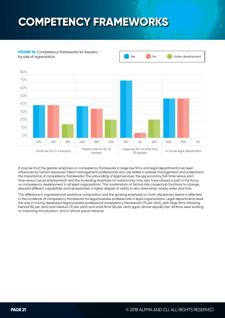## **COMPETENCY FRAMEWORKS**



**FIGURE 16:** Competency frameworks for lawyers by size of organisation **The Contract of the Contract of Contract of Contract of Contract of Contract of Contract of Contract of Contract of Contract of Contract of Contract of Contract of Contract of Contract of Contract** 



The difference in organisational workforce composition and the growing emphasis on multi-disciplinary teams is reflected in the incidence of competency frameworks for legal business professionals in legal organisations. Legal departments lead the way in having developed legal business professional competency frameworks (75 per cent), with large firms following behind (52 per cent) and medium (31 per cent) and small firms (26 per cent) again almost equally last. All firms were working on improving this situation, and in almost equal measure.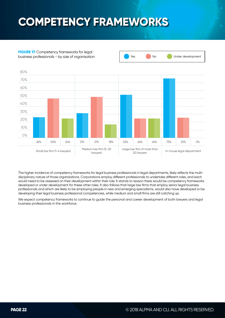## **COMPETENCY FRAMEWORKS**

**FIGURE 17:** Competency frameworks for legal



business professionals - by size of organisation No Wes No Under development

The higher incidence of competency frameworks for legal business professionals in legal departments, likely reflects the multidisciplinary nature of those organisations. Corporations employ different professionals to undertake different roles, and each would need to be assessed on their development within their role. It stands to reason there would be competency frameworks developed or under development for these other roles. It also follows that large law firms that employ senior legal business professionals and which are likely to be employing people in new and emerging specialisms, would also have developed or be developing their legal business professional competencies, while medium and small firms are still catching up.

We expect competency frameworks to continue to guide the personal and career development of both lawyers and legal business professionals in the workforce.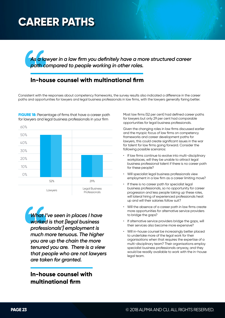## **CAREER PATHS**

*As a lawyer in a law firm you definitely have a more structured career path compared to people working in other roles.*

### **In-house counsel with multinational firm**

Consistent with the responses about competency frameworks, the survey results also indicated a difference in the career paths and opportunities for lawyers and legal business professionals in law firms, with the lawyers generally faring better.



**FIGURE 18:** Percentage of firms that have a career path for lawyers and legal business professionals in your firm

> *What I've seen in places I have worked is that [legal business professionals'] employment is much more tenuous. The higher you are up the chain the more tenured you are. There is a view that people who are not lawyers are taken for granted.*

**In-house counsel with multinational firm**

Most law firms (52 per cent) had defined career paths for lawyers but only 29 per cent had comparable opportunities for legal business professionals.

Given the changing roles in law firms discussed earlier and the myopic focus of law firms on competency frameworks and career development paths for lawyers, this could create significant issues in the war for talent for law firms going forward. Consider the following possible scenarios:

- If law firms continue to evolve into multi-disciplinary workplaces, will they be unable to attract legal business professional talent if there is no career path for these people?
- Will specialist legal business professionals view employment in a law firm as a career limiting move?
- If there is no career path for specialist legal business professionals, so no opportunity for career progression and less people taking up these roles, will lateral hiring of experienced professionals heat up and will their salaries follow suit?
- Will the absence of a career path in law firms create more opportunities for alternative service providers to bridge the gaps?
- If alternative service providers bridge the gaps, will their services also become more expensive?
- Will in-house counsel be increasingly better placed to undertake more of the legal work for their organisations when that requires the expertise of a multi-disciplinary team? Their organisations employ specialist business professionals anyway, and they would be readily available to work with the in-house legal team.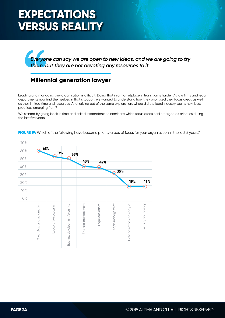## **EXPECTATIONS VERSUS REALITY**

*Everyone can say we are open to new ideas, and we are going to try them, but they are not devoting any resources to it.*

### **Millennial generation lawyer**

Leading and managing any organisation is difficult. Doing that in a marketplace in transition is harder. As law firms and legal departments now find themselves in that situation, we wanted to understand how they prioritised their focus areas as well as their limited time and resources. And, arising out of the same exploration, where did the legal industry see its next best practices emerging from?

We started by going back in time and asked respondents to nominate which focus areas had emerged as priorities during the last five years.

**FIGURE 19:** Which of the following have become priority areas of focus for your organisation in the last 5 years?

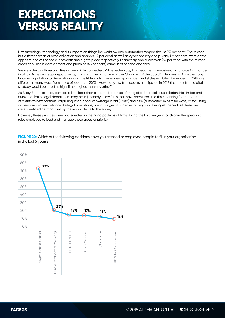## **EXPECTATIONS VERSUS REALITY**

Not surprisingly, technology and its impact on things like workflow and automation topped the list (63 per cent). The related but different areas of data collection and analysis (19 per cent) as well as cyber security and privacy (19 per cent) were at the opposite end of the scale in seventh and eighth place respectively. Leadership and succession (57 per cent) with the related areas of business development and planning (53 per cent) came in at second and third.

We view the top three priorities as being interconnected. While technology has become a pervasive driving force for change in all law firms and legal departments, it has occurred at a time of the "changing of the guard" in leadership from the Baby Boomer population to Generation X and the Millennials. The leadership qualities and styles exhibited by leaders in 2018, are different in many ways from those of leaders in 2013.17 How many law firm leaders anticipated in 2013 that their firm's digital strategy would be rated as high, if not higher, than any other?

As Baby Boomers retire, perhaps a little later than expected because of the global financial crisis, relationships inside and outside a firm or legal department may be in jeopardy. Law firms that have spent too little time planning for the transition of clients to new partners, capturing institutional knowledge in old (video) and new (automated expertise) ways, or focussing on new areas of importance like legal operations, are in danger of underperforming and being left behind. All these areas were identified as important by the respondents to the survey.

However, these priorities were not reflected in the hiring patterns of firms during the last five years and/or in the specialist roles employed to lead and manage these areas of priority.

**FIGURE 20:** Which of the following positions have you created or employed people to fill in your organisation in the last 5 years?

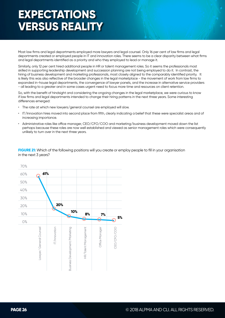## **EXPECTATIONS VERSUS REALITY**

Most law firms and legal departments employed more lawyers and legal counsel. Only 16 per cent of law firms and legal departments created or employed people in IT and innovation roles. There seems to be a clear disparity between what firms and legal departments identified as a priority and who they employed to lead or manage it.

Similarly, only 12 per cent hired additional people in HR or talent management roles. So it seems the professionals most skilled in supporting leadership development and succession planning are not being employed to do it. In contrast, the hiring of business development and marketing professionals, most closely aligned to the comparably identified priority. It is likely this was also reflective of the broader changes in the legal marketplace - the movement of work from law firms to expanded in-house legal departments, the convergence of lawyer panels, and the increase in alternative service providers - all leading to a greater and in some cases urgent need to focus more time and resources on client retention.

So, with the benefit of hindsight and considering the ongoing changes in the legal marketplace, we were curious to know if law firms and legal departments intended to change their hiring patterns in the next three years. Some interesting differences emerged:

- The rate at which new lawyers/general counsel are employed will slow.
- IT/Innovation hires moved into second place from fifth, clearly indicating a belief that these were specialist areas and of increasing importance.
- Administrative roles like office manager, CEO/CFO/COO and marketing/business development moved down the list perhaps because these roles are now well established and viewed as senior management roles which were consequently unlikely to turn over in the next three years.

**FIGURE 21:** Which of the following positions will you create or employ people to fill in your organisation in the next 3 years?

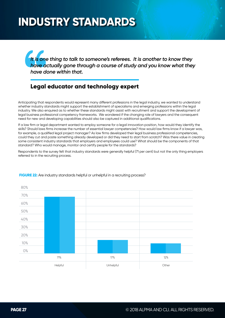*It is one thing to talk to someone's referees. It is another to know they have actually gone through a course of study and you know what they have done within that.*

### **Legal educator and technology expert**

Anticipating that respondents would represent many different professions in the legal industry, we wanted to understand whether industry standards might support the establishment of specialisms and emerging professions within the legal industry. We also enquired as to whether these standards might assist with recruitment and support the development of legal business professional competency frameworks. We wondered if the changing role of lawyers and the consequent need for new and developing capabilities should also be captured in additional qualifications.

If a law firm or legal department wanted to employ someone for a legal innovation position, how would they identify the skills? Should laws firms increase the number of essential lawyer competencies? How would law firms know if a lawyer was, for example, a qualified legal project manager? As law firms developed their legal business professional competencies, could they cut and paste something already developed or did they need to start from scratch? Was there value in creating some consistent industry standards that employers and employees could use? What should be the components of that standard? Who would manage, monitor and certify people for the standards?

Respondents to the survey felt that industry standards were generally helpful (71 per cent) but not the only thing employers referred to in the recruiting process.



#### **FIGURE 22:** Are industry standards helpful or unhelpful in a recruiting process?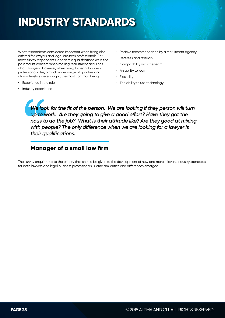What respondents considered important when hiring also differed for lawyers and legal business professionals. For most survey respondents, academic qualifications were the paramount concern when making recruitment decisions about lawyers. However, when hiring for legal business professional roles, a much wider range of qualities and characteristics were sought, the most common being:

- Experience in the role
- Industry experience
- Positive recommendation by a recruitment agency
- Referees and referrals
- Compatibility with the team
- An ability to learn
- Flexibility
- The ability to use technology

*We look for the fit of the person. We are looking if they person will turn up to work. Are they going to give a good effort? Have they got the nous to do the job? What is their attitude like? Are they good at mixing with people? The only difference when we are looking for a lawyer is their qualifications.*

### **Manager of a small law firm**

The survey enquired as to the priority that should be given to the development of new and more relevant industry standards for both lawyers and legal business professionals. Some similarities and differences emerged.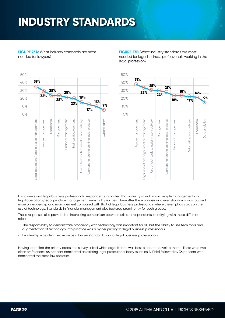| 50% |                                            |                   |            |            |                      |                             |                                              |                                           |     |               |
|-----|--------------------------------------------|-------------------|------------|------------|----------------------|-----------------------------|----------------------------------------------|-------------------------------------------|-----|---------------|
| 40% | 39%                                        |                   |            |            |                      |                             |                                              |                                           |     |               |
| 30% |                                            |                   | 28%        |            | 25%                  |                             |                                              |                                           |     |               |
| 20% |                                            | 32%               | 9          | 28%        | $\ddot{\bullet}$     |                             | 19%                                          |                                           | 13% |               |
| 10% |                                            |                   |            |            |                      | 23%                         |                                              | 17%                                       |     | 9%            |
| 0%  |                                            |                   |            |            |                      |                             |                                              |                                           |     |               |
|     | Legal operations/legal practice management | People management | Leadership | Management | Financial management | <b>Business development</b> | Use of tech tools to assist in work delivery | Augmenting technology into legal practice | ヒ   | Cybersecurity |

**FIGURE 23A:** What industry standards are most needed for lawyers?

**FIGURE 23B:** What industry standards are most needed for legal business professionals working in the legal profession?



For lawyers and legal business professionals, respondents indicated that industry standards in people management and legal operations/legal practice management were high priorities. Thereafter the emphasis in lawyer standards was focused more on leadership and management compared with that of legal business professionals where the emphasis was on the use of technology. Standards in financial management also featured prominently for both groups.

These responses also provided an interesting comparison between skill sets respondents identifying with these different roles:

- The responsibility to demonstrate proficiency with technology was important for all, but the ability to use tech tools and augmentation of technology into practice was a higher priority for legal business professionals.
- Leadership was identified more as a lawyer standard than for legal business professionals.

Having identified the priority areas, the survey asked which organisation was best placed to develop them. There were two clear preferences: 46 per cent nominated an existing legal professional body, (such as ALPMA) followed by 36 per cent who nominated the state law societies.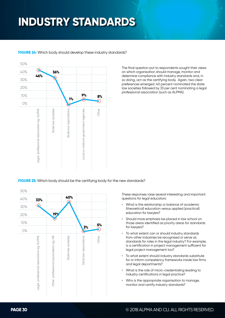50% ∩ 40% **36% 46%** 30% 20% **9% 8%** 10% **1%** ∩ 0% Legal professional association eg. ALPMA State bar associations Other Legal professional association eg. ALPMA State law societies State law societies State bar associations ocal or national government agencies Local or national government agencies

**FIGURE 24:** Which body should develop these industry standards?

The final question put to respondents sought their views on which organisation should manage, monitor and determine compliance with industry standards and, in so doing, act as the certifying body. Again, two clear preferences emerged: 40 percent nominated the state law societies followed by 33 per cent nominating a legal professional association (such as ALPMA).

**FIGURE 25:** Which body should be the certifying body for the new standards?

50% **40%** 40% **33%** Q 30% **19%** 20% 10% **5% 3%** 0%  $\frac{\alpha}{\pm}$ State bar associations Other egal professional association eg. ALPMA Legal professional association eg. ALPMA Other professional associateion eg. HR State law societies State law societies State bar associations professional associateion eg. Other

These responses raise several interesting and important questions for legal educators:

- What is the relationship or balance of academic (theoretical) education versus applied (practical) education for lawyers?
- Should more emphasis be placed in law school on those areas identified as priority areas for standards for lawyers?
- To what extent can or should industry standards from other industries be recognised or serve as standards for roles in the legal industry? For example, is a certification in project management sufficient for legal project management too?
- To what extent should industry standards substitute for or inform competency frameworks inside law firms and legal departments?
- What is the role of micro-credentialing leading to industry certifications in legal practice?
- Who is the appropriate organisation to manage, monitor and certify industry standards?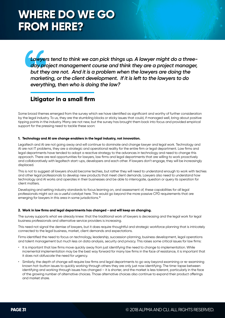### **WHERE DO WE GO FROM HERE?**

*Lawyers tend to think we can pick things up. A lawyer might do a threeday project management course and think they are a project manager, but they are not. And it is a problem when the lawyers are doing the marketing, or the client development. If it is left to the lawyers to do everything, then who is doing the law?*

### **Litigator in a small firm**

Some broad themes emerged from the survey which we have identified as significant and worthy of further consideration by the legal industry. To us, they are the stumbling blocks or sticky issues that could, if managed well, bring about positive tipping points in the industry. Many are not new, but the survey has brought them back into focus and provided empirical support for the pressing need to tackle these soon:

#### **1. Technology and AI are change enablers in the legal industry, not innovation.**

Legaltech and AI are not going away and will continue to dominate and change lawyer and legal work. Technology and AI are not IT problems, they are a strategic and operational reality for the entire firm or legal department. Law firms and legal departments have tended to adopt a reactive strategy to the advances in technology and need to change this approach. There are real opportunities for lawyers, law firms and legal departments that are willing to work proactively and collaboratively with legaltech start-ups, developers and each other. If lawyers don't engage, they will be increasingly displaced.

This is not to suggest all lawyers should become techies, but rather they will need to understand enough to work with techies and other legal professionals to develop new products that meet client demands. Lawyers also need to understand how technology and AI works and operates in their businesses and be able to interrogate, question or query its operation for client matters.

Developing and setting industry standards to focus learning on, and assessment of, these capabilities for all legal professionals might act as a useful catalyst here. This would go beyond the more passive CPD requirements that are emerging for lawyers in this area in some jurisdictions.18

#### **2. Work in law firms and legal departments has changed - and will keep on changing.**

The survey supports what we already knew: that the traditional work of lawyers is decreasing and the legal work for legal business professionals and alternative service providers is increasing.

This need not signal the demise of lawyers, but it does require thoughtful and strategic workforce planning that is intricately connected to the legal business, market, client demands and expectations.

Firms identified the need to focus on technology, leadership, succession planning, business development, legal operations and talent management but much less on data analysis, security and privacy. This raises some critical issues for law firms:

- It is important that law firms move quickly away from just identifying the need to change to implementation. While incremental implementation may be the best way forward for many law firms in the face of resistance, it is important that it does not obfuscate the need for urgency.
- Similarly, the depth of change will require law firms and legal departments to go way beyond examining or re-examining known hot-button issues to quickly working through others they are only just now identifying. The time-lapse between identifying and working through issues has changed – it is shorter, and the market is less tolerant, particularly in the face of the growing number of alternative choices. Those alternative choices also continue to expand their product offerings and market share.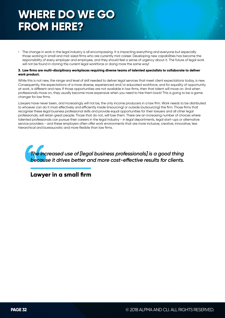### **WHERE DO WE GO FROM HERE?**

The change in work in the legal industry is all encompassing. It is impacting everything and everyone but especially those working in small and mid-sized firms who are currently mid-career. Developing new capabilities has become the responsibility of every employer and employee, and they should feel a sense of urgency about it. The future of legal work will not be found in cloning the current legal workforce or doing more the same way!

#### **3. Law firms are multi-disciplinary workplaces requiring diverse teams of talented specialists to collaborate to deliver work product.**

While this is not new, the range and level of skill needed to deliver legal services that meet client expectations today, is new. Consequently, the expectations of a more diverse, experienced and/or educated workforce, and for equality of opportunity at work, is different and new. If those opportunities are not available in law firms, then that talent will move on. And when professionals move on, they usually become more expensive when you need to hire them back! This is going to be a game changer for law firms.

Lawyers have never been, and increasingly will not be, the only income producers in a law firm. Work needs to be distributed to whoever can do it most effectively and efficiently inside (insourcing) or outside (outsourcing) the firm. Those firms that recognise these legal business professional skills and provide equal opportunities for their lawyers and all other legal professionals, will retain great people. Those that do not, will lose them. There are an increasing number of choices where talented professionals can pursue their careers in the legal industry - in legal departments, legal start-ups or alternative service providers - and these employers often offer work environments that are more inclusive, creative, innovative, less hierarchical and bureaucratic and more flexible than law firms.

*The increased use of [legal business professionals] is a good thing because it drives better and more cost-effective results for clients.*

**Lawyer in a small firm**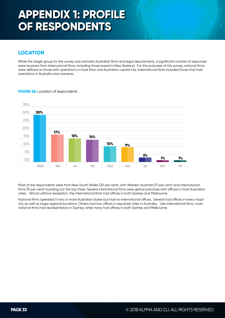#### **LOCATION**

While the target group for the survey was primarily Australian firms and legal departments, a significant number of responses were received from international firms, including those based in New Zealand. For the purposes of this survey, national firms were defined as those with operations in more than one Australian capital city. International firms included those that had operations in Australia and overseas.



#### **FIGURE 26:** Location of respondents

Most of the respondents were from New South Wales (30 per cent), with Western Australia (17 per cent) and international firms (15 per cent) rounding out the top three. Several international firms were global practices with offices in most Australian cities. Almost without exception, the international firms had offices in both Sydney and Melbourne.

National firms operated in two or more Australian states but had no international offices. Several had offices in every major city as well as larger regional locations. Others had two offices in separate cities in Australia. Like international firms, most national firms had representation in Sydney, while many had offices in both Sydney and Melbourne.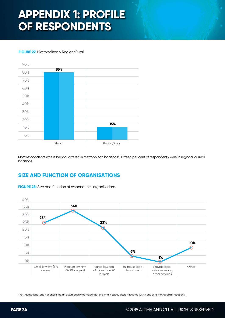#### **FIGURE 27:** Metropolitan v Region/Rural



Most respondents where headquartered in metropolitan locations<sup>1</sup>. Fifteen per cent of respondents were in regional or rural locations.

#### **SIZE AND FUNCTION OF ORGANISATIONS**

![](_page_33_Figure_5.jpeg)

**FIGURE 28:** Size and function of respondents' organisations

1 For international and national firms, an assumption was made that the firm's headquarters is located within one of its metropolitan locations.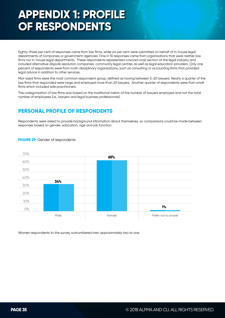Eighty-three per cent of responses came from law firms, while six per cent were submitted on behalf of in-house legal departments of companies or government agencies. One in 10 responses came from organisations that were neither law firms nor in-house legal departments. These respondents represented a broad cross section of the legal industry and included alternative dispute resolution companies, community legal centres as well as legal education providers. Only one percent of respondents were from multi-disciplinary organisations, such as consulting or accounting firms that provided legal advice in addition to other services.

Mid-sized firms were the most common respondent group, defined as having between 5-20 lawyers. Nearly a quarter of the law firms that responded were large and employed more than 20 lawyers. Another quarter of respondents were from small firms which included sole practitioners.

The categorisation of law firms was based on the traditional metric of the number of lawyers employed and not the total number of employees (i.e., lawyers and legal business professionals).

#### **PERSONAL PROFILE OF RESPONDENTS**

Respondents were asked to provide background information about themselves, so comparisons could be made between responses based on gender, education, age and job function.

![](_page_34_Figure_6.jpeg)

#### **FIGURE 29:** Gender of respondents

Women respondents to the survey outnumbered men approximately two to one.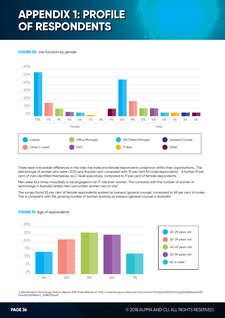#### **FIGURE 30:** Job function by gender

![](_page_35_Figure_2.jpeg)

There were noticeable differences in the roles the male and female respondents undertook within their organisations. The percentage of women who were CEOs was five per cent compared with 10 per cent for male respondents. A further 19 per cent of men identified themselves as C-level executives, compared to 17 per cent of female respondents.

Men were four times more likely to be engaged in an IT role than women. This contrasts with the number of women in technology in Australia where men outnumber women two to one.<sup>2</sup>

The survey found 55 per cent of female respondents worked as lawyers/general counsel, compared to 49 per cent of males. This is consistent with the growing number of women working as lawyers/general counsel in Australia.

![](_page_35_Figure_6.jpeg)

#### **FIGURE 31:** Age of respondents

 2 See Davidson Technology Diversity Report 2016, Press Release at: http://www.wit.org.au/resources/Documents/Davidson%20Technology%20Releases%20 Diversity%20Report\_JUNE2016.pdf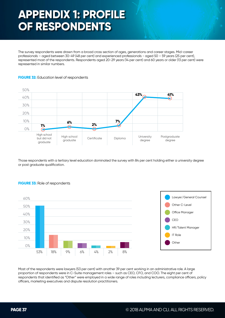The survey respondents were drawn from a broad cross section of ages, generations and career stages. Mid-career professionals – aged between 30-49 (48 per cent) and experienced professionals - aged 50 – 59 years (25 per cent), represented most of the respondents. Respondents aged 20-29 years (14 per cent) and 60 years or older (13 per cent) were represented in similar numbers.

#### **FIGURE 32:** Education level of respondents

![](_page_36_Figure_3.jpeg)

Those respondents with a tertiary level education dominated the survey with 84 per cent holding either a university degree or post graduate qualification.

![](_page_36_Figure_5.jpeg)

![](_page_36_Figure_6.jpeg)

Most of the respondents were lawyers (53 per cent) with another 39 per cent working in an administrative role. A large proportion of respondents were in C-Suite management roles – such as CEO, CFO, and COO. The eight per cent of respondents that identified as "Other" were employed in a wide range of roles including lecturers, compliance officers, policy officers, marketing executives and dispute resolution practitioners.

#### **FIGURE 33:** Role of respondents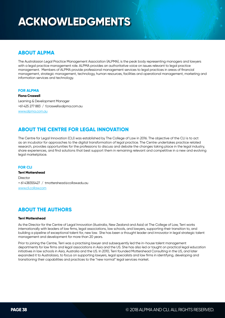## **ACKNOWLEDGMENTS**

#### **ABOUT ALPMA**

The Australasian Legal Practice Management Association (ALPMA), is the peak body representing managers and lawyers with a legal practice management role. ALPMA provides an authoritative voice on issues relevant to legal practice management. Members of ALPMA provide professional management services to legal practices in areas of financial management, strategic management, technology, human resources, facilities and operational management, marketing and information services and technology.

#### **FOR ALPMA**

**Fiona Croswell**

Learning & Development Manager +61 425 277 883 / f.croswell@alpma.com.au www.alpma.com.au

#### **ABOUT THE CENTRE FOR LEGAL INNOVATION**

The Centre for Legal Innovation (CLI) was established by The College of Law in 2016. The objective of the CLI is to act as an incubator for approaches to the digital transformation of legal practice. The Centre undertakes practice related research, provides opportunities for the professions to discuss and debate the changes taking place in the legal industry, share experiences, and find solutions that best support them in remaining relevant and competitive in a new and evolving legal marketplace.

#### **FOR CLI**

**Terri Mottershead Director** + 61 438355427 / tmottershead@collaw.edu.au www.cli.collaw.com

#### **ABOUT THE AUTHORS**

#### **Terri Mottershead**

As the Director for the Centre of Legal Innovation (Australia, New Zealand and Asia) at The College of Law, Terri works internationally with leaders of law firms, legal associations, law schools, and lawyers, supporting their transition to, and building a pipeline of exceptional talent for, new law. She has been a thought leader and innovator in legal strategic talent management and development for more than 20 years.

Prior to joining the Centre, Terri was a practising lawyer and subsequently led the in-house talent management departments for law firms and legal associations in Asia and the US. She has also led or taught on practical legal education initiatives in law schools in Asia, Australia and the US. In 2010, Terri founded Mottershead Consulting in the US, and later expanded it to Australasia, to focus on supporting lawyers, legal specialists and law firms in identifying, developing and transitioning their capabilities and practices to the "new normal" legal services market.